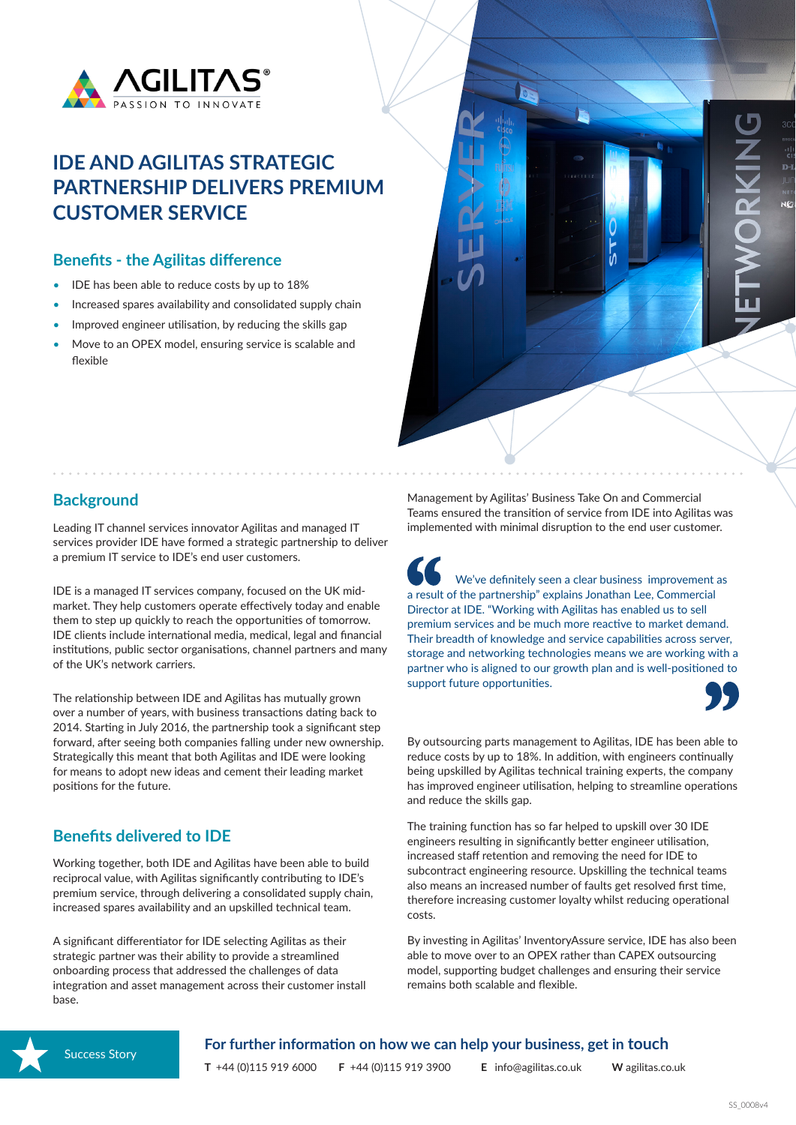

# **IDE AND AGILITAS STRATEGIC PARTNERSHIP DELIVERS PREMIUM CUSTOMER SERVICE**

#### **Benefits - the Agilitas difference**

- IDE has been able to reduce costs by up to 18%
- Increased spares availability and consolidated supply chain
- Improved engineer utilisation, by reducing the skills gap
- Move to an OPEX model, ensuring service is scalable and flexible



### **Background**

Leading IT channel services innovator Agilitas and managed IT services provider IDE have formed a strategic partnership to deliver a premium IT service to IDE's end user customers.

IDE is a managed IT services company, focused on the UK midmarket. They help customers operate effectively today and enable them to step up quickly to reach the opportunities of tomorrow. IDE clients include international media, medical, legal and financial institutions, public sector organisations, channel partners and many of the UK's network carriers.

The relationship between IDE and Agilitas has mutually grown over a number of years, with business transactions dating back to 2014. Starting in July 2016, the partnership took a significant step forward, after seeing both companies falling under new ownership. Strategically this meant that both Agilitas and IDE were looking for means to adopt new ideas and cement their leading market positions for the future.

## **Benefits delivered to IDE**

Working together, both IDE and Agilitas have been able to build reciprocal value, with Agilitas significantly contributing to IDE's premium service, through delivering a consolidated supply chain, increased spares availability and an upskilled technical team.

A significant differentiator for IDE selecting Agilitas as their strategic partner was their ability to provide a streamlined onboarding process that addressed the challenges of data integration and asset management across their customer install base.

Management by Agilitas' Business Take On and Commercial Teams ensured the transition of service from IDE into Agilitas was implemented with minimal disruption to the end user customer.

We've definitely seen a clear business improvement as a result of the partnership" explains Jonathan Lee, Commercial Director at IDE. "Working with Agilitas has enabled us to sell premium services and be much more reactive to market demand. Their breadth of knowledge and service capabilities across server, storage and networking technologies means we are working with a partner who is aligned to our growth plan and is well-positioned to support future opportunities.



By outsourcing parts management to Agilitas, IDE has been able to reduce costs by up to 18%. In addition, with engineers continually being upskilled by Agilitas technical training experts, the company has improved engineer utilisation, helping to streamline operations and reduce the skills gap.

The training function has so far helped to upskill over 30 IDE engineers resulting in significantly better engineer utilisation, increased staff retention and removing the need for IDE to subcontract engineering resource. Upskilling the technical teams also means an increased number of faults get resolved first time, therefore increasing customer loyalty whilst reducing operational costs.

By investing in Agilitas' InventoryAssure service, IDE has also been able to move over to an OPEX rather than CAPEX outsourcing model, supporting budget challenges and ensuring their service remains both scalable and flexible.



**For further information on how we can help your business, get in touch**

**T** +44 (0)115 919 6000 **F** +44 (0)115 919 3900 **E** info@agilitas.co.uk **W** agilitas.co.uk